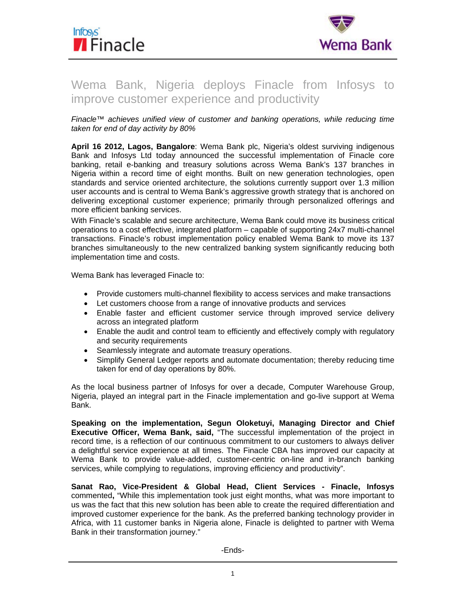



# Wema Bank, Nigeria deploys Finacle from Infosys to improve customer experience and productivity

*Finacle™ achieves unified view of customer and banking operations, while reducing time taken for end of day activity by 80%* 

**April 16 2012, Lagos, Bangalore**: Wema Bank plc, Nigeria's oldest surviving indigenous Bank and Infosys Ltd today announced the successful implementation of Finacle core banking, retail e-banking and treasury solutions across Wema Bank's 137 branches in Nigeria within a record time of eight months. Built on new generation technologies, open standards and service oriented architecture, the solutions currently support over 1.3 million user accounts and is central to Wema Bank's aggressive growth strategy that is anchored on delivering exceptional customer experience; primarily through personalized offerings and more efficient banking services.

With Finacle's scalable and secure architecture, Wema Bank could move its business critical operations to a cost effective, integrated platform – capable of supporting 24x7 multi-channel transactions. Finacle's robust implementation policy enabled Wema Bank to move its 137 branches simultaneously to the new centralized banking system significantly reducing both implementation time and costs.

Wema Bank has leveraged Finacle to:

- Provide customers multi-channel flexibility to access services and make transactions
- Let customers choose from a range of innovative products and services
- Enable faster and efficient customer service through improved service delivery across an integrated platform
- Enable the audit and control team to efficiently and effectively comply with regulatory and security requirements
- Seamlessly integrate and automate treasury operations.
- Simplify General Ledger reports and automate documentation; thereby reducing time taken for end of day operations by 80%.

As the local business partner of Infosys for over a decade, Computer Warehouse Group, Nigeria, played an integral part in the Finacle implementation and go-live support at Wema Bank.

**Speaking on the implementation, Segun Oloketuyi, Managing Director and Chief Executive Officer, Wema Bank, said,** "The successful implementation of the project in record time, is a reflection of our continuous commitment to our customers to always deliver a delightful service experience at all times. The Finacle CBA has improved our capacity at Wema Bank to provide value-added, customer-centric on-line and in-branch banking services, while complying to regulations, improving efficiency and productivity".

**Sanat Rao, Vice-President & Global Head, Client Services - Finacle, Infosys**  commented**,** "While this implementation took just eight months, what was more important to us was the fact that this new solution has been able to create the required differentiation and improved customer experience for the bank. As the preferred banking technology provider in Africa, with 11 customer banks in Nigeria alone, Finacle is delighted to partner with Wema Bank in their transformation journey."

-Ends-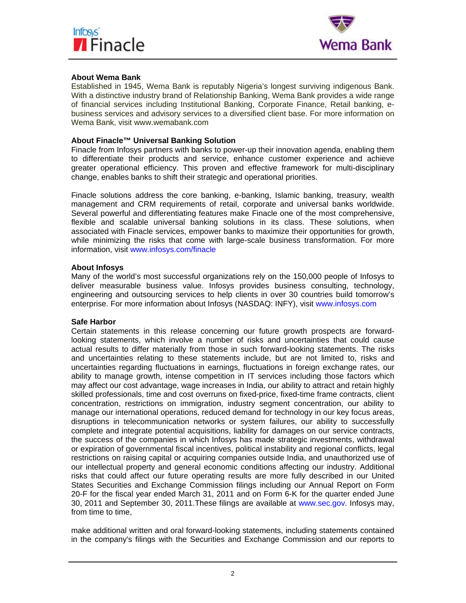



## **About Wema Bank**

Established in 1945, Wema Bank is reputably Nigeria's longest surviving indigenous Bank. With a distinctive industry brand of Relationship Banking, Wema Bank provides a wide range of financial services including Institutional Banking, Corporate Finance, Retail banking, ebusiness services and advisory services to a diversified client base. For more information on Wema Bank, visit www.wemabank.com

## **About Finacle™ Universal Banking Solution**

Finacle from Infosys partners with banks to power-up their innovation agenda, enabling them to differentiate their products and service, enhance customer experience and achieve greater operational efficiency. This proven and effective framework for multi-disciplinary change, enables banks to shift their strategic and operational priorities.

Finacle solutions address the core banking, e-banking, Islamic banking, treasury, wealth management and CRM requirements of retail, corporate and universal banks worldwide. Several powerful and differentiating features make Finacle one of the most comprehensive, flexible and scalable universal banking solutions in its class. These solutions, when associated with Finacle services, empower banks to maximize their opportunities for growth, while minimizing the risks that come with large-scale business transformation. For more information, visit www.infosys.com/finacle

#### **About Infosys**

Many of the world's most successful organizations rely on the 150,000 people of Infosys to deliver measurable business value. Infosys provides business consulting, technology, engineering and outsourcing services to help clients in over 30 countries build tomorrow's enterprise. For more information about Infosys (NASDAQ: INFY), visit www.infosys.com

#### **Safe Harbor**

Certain statements in this release concerning our future growth prospects are forwardlooking statements, which involve a number of risks and uncertainties that could cause actual results to differ materially from those in such forward-looking statements. The risks and uncertainties relating to these statements include, but are not limited to, risks and uncertainties regarding fluctuations in earnings, fluctuations in foreign exchange rates, our ability to manage growth, intense competition in IT services including those factors which may affect our cost advantage, wage increases in India, our ability to attract and retain highly skilled professionals, time and cost overruns on fixed-price, fixed-time frame contracts, client concentration, restrictions on immigration, industry segment concentration, our ability to manage our international operations, reduced demand for technology in our key focus areas, disruptions in telecommunication networks or system failures, our ability to successfully complete and integrate potential acquisitions, liability for damages on our service contracts, the success of the companies in which Infosys has made strategic investments, withdrawal or expiration of governmental fiscal incentives, political instability and regional conflicts, legal restrictions on raising capital or acquiring companies outside India, and unauthorized use of our intellectual property and general economic conditions affecting our industry. Additional risks that could affect our future operating results are more fully described in our United States Securities and Exchange Commission filings including our Annual Report on Form 20-F for the fiscal year ended March 31, 2011 and on Form 6-K for the quarter ended June 30, 2011 and September 30, 2011.These filings are available at www.sec.gov. Infosys may, from time to time,

make additional written and oral forward-looking statements, including statements contained in the company's filings with the Securities and Exchange Commission and our reports to